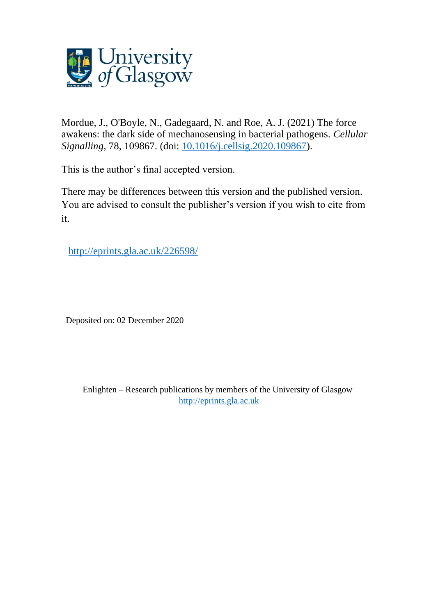

Mordue, J., O'Boyle, N., Gadegaard, N. and Roe, A. J. (2021) The force awakens: the dark side of mechanosensing in bacterial pathogens. *Cellular Signalling*, 78, 109867. (doi: [10.1016/j.cellsig.2020.109867\)](http://dx.doi.org/10.1016/j.cellsig.2020.109867).

This is the author's final accepted version.

There may be differences between this version and the published version. You are advised to consult the publisher's version if you wish to cite from it.

[http://eprints.gla.ac.uk/226598/](http://eprints.gla.ac.uk/227091/) 

Deposited on: 02 December 2020

Enlighten – Research publications by members of the University of Glasgow [http://eprints.gla.ac.uk](http://eprints.gla.ac.uk/)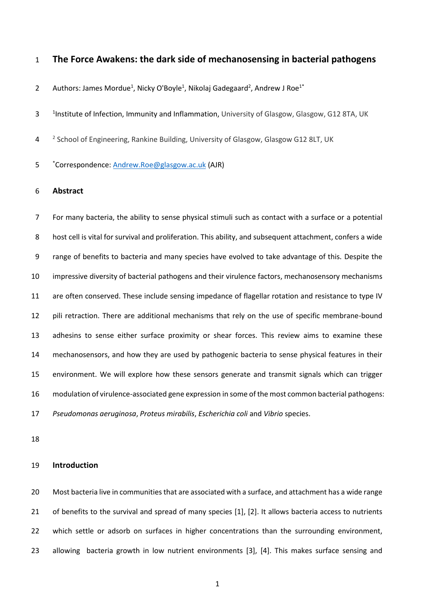## **The Force Awakens: the dark side of mechanosensing in bacterial pathogens**

- 2 Authors: James Mordue<sup>1</sup>, Nicky O'Boyle<sup>1</sup>, Nikolaj Gadegaard<sup>2</sup>, Andrew J Roe<sup>1\*</sup>
- 1 <sup>1</sup> Institute of Infection, Immunity and Inflammation, University of Glasgow, Glasgow, G12 8TA, UK
- 4 <sup>2</sup> School of Engineering, Rankine Building, University of Glasgow, Glasgow G12 8LT, UK
- 5 \*Correspondence[: Andrew.Roe@glasgow.ac.uk](mailto:Andrew.Roe@glasgow.ac.uk) (AJR)

### **Abstract**

 For many bacteria, the ability to sense physical stimuli such as contact with a surface or a potential host cell is vital for survival and proliferation. This ability, and subsequent attachment, confers a wide range of benefits to bacteria and many species have evolved to take advantage of this. Despite the impressive diversity of bacterial pathogens and their virulence factors, mechanosensory mechanisms are often conserved. These include sensing impedance of flagellar rotation and resistance to type IV pili retraction. There are additional mechanisms that rely on the use of specific membrane-bound adhesins to sense either surface proximity or shear forces. This review aims to examine these mechanosensors, and how they are used by pathogenic bacteria to sense physical features in their environment. We will explore how these sensors generate and transmit signals which can trigger modulation of virulence-associated gene expression in some of the most common bacterial pathogens: *Pseudomonas aeruginosa*, *Proteus mirabilis*, *Escherichia coli* and *Vibrio* species.

### **Introduction**

 Most bacteria live in communities that are associated with a surface, and attachment has a wide range of benefits to the survival and spread of many species [1], [2]. It allows bacteria access to nutrients 22 which settle or adsorb on surfaces in higher concentrations than the surrounding environment, allowing bacteria growth in low nutrient environments [3], [4]. This makes surface sensing and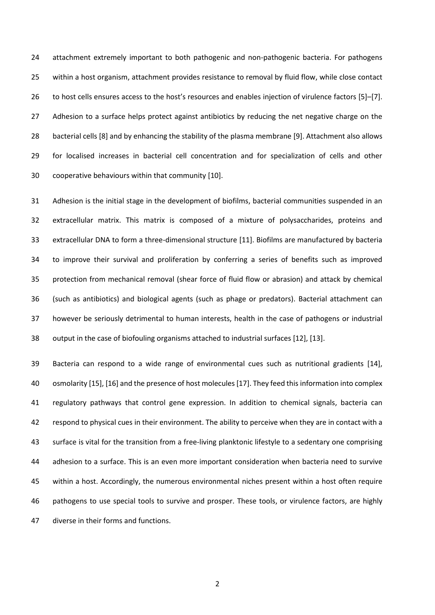attachment extremely important to both pathogenic and non-pathogenic bacteria. For pathogens within a host organism, attachment provides resistance to removal by fluid flow, while close contact to host cells ensures access to the host's resources and enables injection of virulence factors [5]–[7]. 27 Adhesion to a surface helps protect against antibiotics by reducing the net negative charge on the bacterial cells [8] and by enhancing the stability of the plasma membrane [9]. Attachment also allows for localised increases in bacterial cell concentration and for specialization of cells and other cooperative behaviours within that community [10].

 Adhesion is the initial stage in the development of biofilms, bacterial communities suspended in an extracellular matrix. This matrix is composed of a mixture of polysaccharides, proteins and extracellular DNA to form a three-dimensional structure [11]. Biofilms are manufactured by bacteria to improve their survival and proliferation by conferring a series of benefits such as improved protection from mechanical removal (shear force of fluid flow or abrasion) and attack by chemical (such as antibiotics) and biological agents (such as phage or predators). Bacterial attachment can however be seriously detrimental to human interests, health in the case of pathogens or industrial output in the case of biofouling organisms attached to industrial surfaces [12], [13].

 Bacteria can respond to a wide range of environmental cues such as nutritional gradients [14], osmolarity [15], [16] and the presence of host molecules [17]. They feed this information into complex regulatory pathways that control gene expression. In addition to chemical signals, bacteria can 42 respond to physical cues in their environment. The ability to perceive when they are in contact with a surface is vital for the transition from a free-living planktonic lifestyle to a sedentary one comprising adhesion to a surface. This is an even more important consideration when bacteria need to survive within a host. Accordingly, the numerous environmental niches present within a host often require pathogens to use special tools to survive and prosper. These tools, or virulence factors, are highly diverse in their forms and functions.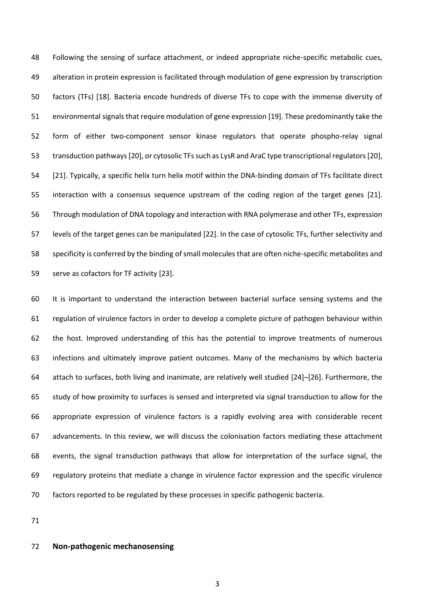Following the sensing of surface attachment, or indeed appropriate niche-specific metabolic cues, alteration in protein expression is facilitated through modulation of gene expression by transcription factors (TFs) [18]. Bacteria encode hundreds of diverse TFs to cope with the immense diversity of environmental signals that require modulation of gene expression [19]. These predominantly take the form of either two-component sensor kinase regulators that operate phospho-relay signal transduction pathways [20], or cytosolic TFs such as LysR and AraC type transcriptional regulators [20], [21]. Typically, a specific helix turn helix motif within the DNA-binding domain of TFs facilitate direct interaction with a consensus sequence upstream of the coding region of the target genes [21]. Through modulation of DNA topology and interaction with RNA polymerase and other TFs, expression levels of the target genes can be manipulated [22]. In the case of cytosolic TFs, further selectivity and specificity is conferred by the binding of small molecules that are often niche-specific metabolites and serve as cofactors for TF activity [23].

 It is important to understand the interaction between bacterial surface sensing systems and the regulation of virulence factors in order to develop a complete picture of pathogen behaviour within the host. Improved understanding of this has the potential to improve treatments of numerous infections and ultimately improve patient outcomes. Many of the mechanisms by which bacteria attach to surfaces, both living and inanimate, are relatively well studied [24]–[26]. Furthermore, the study of how proximity to surfaces is sensed and interpreted via signal transduction to allow for the appropriate expression of virulence factors is a rapidly evolving area with considerable recent advancements. In this review, we will discuss the colonisation factors mediating these attachment events, the signal transduction pathways that allow for interpretation of the surface signal, the regulatory proteins that mediate a change in virulence factor expression and the specific virulence factors reported to be regulated by these processes in specific pathogenic bacteria.

## **Non-pathogenic mechanosensing**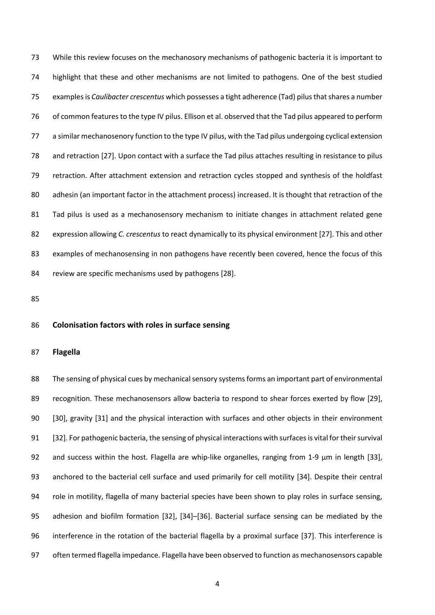While this review focuses on the mechanosory mechanisms of pathogenic bacteria it is important to highlight that these and other mechanisms are not limited to pathogens. One of the best studied examples is *Caulibacter crescentus* which possesses a tight adherence (Tad) pilus thatshares a number of common features to the type IV pilus. Ellison et al. observed that the Tad pilus appeared to perform a similar mechanosenory function to the type IV pilus, with the Tad pilus undergoing cyclical extension and retraction [27]. Upon contact with a surface the Tad pilus attaches resulting in resistance to pilus retraction. After attachment extension and retraction cycles stopped and synthesis of the holdfast 80 adhesin (an important factor in the attachment process) increased. It is thought that retraction of the Tad pilus is used as a mechanosensory mechanism to initiate changes in attachment related gene expression allowing *C. crescentus* to react dynamically to its physical environment [27]. This and other 83 examples of mechanosensing in non pathogens have recently been covered, hence the focus of this review are specific mechanisms used by pathogens [28].

### **Colonisation factors with roles in surface sensing**

#### **Flagella**

 The sensing of physical cues by mechanical sensory systemsforms an important part of environmental recognition. These mechanosensors allow bacteria to respond to shear forces exerted by flow [29], [30], gravity [31] and the physical interaction with surfaces and other objects in their environment [32]. For pathogenic bacteria, the sensing of physical interactions with surfaces is vital for their survival 92 and success within the host. Flagella are whip-like organelles, ranging from 1-9  $\mu$ m in length [33], anchored to the bacterial cell surface and used primarily for cell motility [34]. Despite their central role in motility, flagella of many bacterial species have been shown to play roles in surface sensing, adhesion and biofilm formation [32], [34]–[36]. Bacterial surface sensing can be mediated by the interference in the rotation of the bacterial flagella by a proximal surface [37]. This interference is often termed flagella impedance. Flagella have been observed to function as mechanosensors capable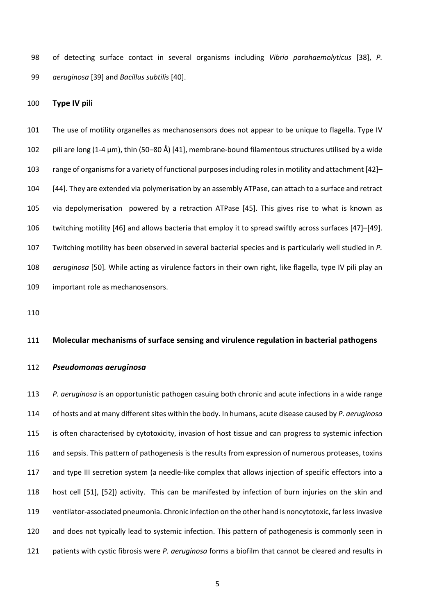of detecting surface contact in several organisms including *Vibrio parahaemolyticus* [38], *P. aeruginosa* [39] and *Bacillus subtilis* [40].

### **Type IV pili**

 The use of motility organelles as mechanosensors does not appear to be unique to flagella. Type IV pili are long (1-4 µm), thin (50–80 Å) [41], membrane-bound filamentous structures utilised by a wide 103 range of organisms for a variety of functional purposes including roles in motility and attachment [42]- [44]. They are extended via polymerisation by an assembly ATPase, can attach to a surface and retract via depolymerisation powered by a retraction ATPase [45]. This gives rise to what is known as twitching motility [46] and allows bacteria that employ it to spread swiftly across surfaces [47]–[49]. Twitching motility has been observed in several bacterial species and is particularly well studied in *P. aeruginosa* [50]*.* While acting as virulence factors in their own right, like flagella, type IV pili play an important role as mechanosensors.

### **Molecular mechanisms of surface sensing and virulence regulation in bacterial pathogens**

#### *Pseudomonas aeruginosa*

 *P. aeruginosa* is an opportunistic pathogen casuing both chronic and acute infections in a wide range of hosts and at many different sites within the body. In humans, acute disease caused by *P. aeruginosa* is often characterised by cytotoxicity, invasion of host tissue and can progress to systemic infection and sepsis. This pattern of pathogenesis is the results from expression of numerous proteases, toxins and type III secretion system (a needle-like complex that allows injection of specific effectors into a host cell [51], [52]) activity. This can be manifested by infection of burn injuries on the skin and ventilator-associated pneumonia. Chronic infection on the other hand is noncytotoxic, far less invasive and does not typically lead to systemic infection. This pattern of pathogenesis is commonly seen in patients with cystic fibrosis were *P. aeruginosa* forms a biofilm that cannot be cleared and results in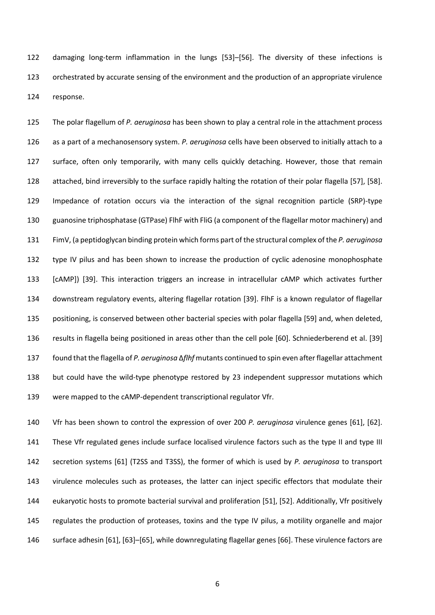damaging long-term inflammation in the lungs [53]–[56]. The diversity of these infections is orchestrated by accurate sensing of the environment and the production of an appropriate virulence response.

 The polar flagellum of *P. aeruginosa* has been shown to play a central role in the attachment process as a part of a mechanosensory system. *P. aeruginosa* cells have been observed to initially attach to a surface, often only temporarily, with many cells quickly detaching. However, those that remain attached, bind irreversibly to the surface rapidly halting the rotation of their polar flagella [57], [58]. Impedance of rotation occurs via the interaction of the signal recognition particle (SRP)-type guanosine triphosphatase (GTPase) FlhF with FliG (a component of the flagellar motor machinery) and FimV, (a peptidoglycan binding protein which forms part of the structural complex of the *P. aeruginosa* type IV pilus and has been shown to increase the production of cyclic adenosine monophosphate [cAMP]) [39]. This interaction triggers an increase in intracellular cAMP which activates further downstream regulatory events, altering flagellar rotation [39]. FlhF is a known regulator of flagellar positioning, is conserved between other bacterial species with polar flagella [59] and, when deleted, results in flagella being positioned in areas other than the cell pole [60]. Schniederberend et al. [39] found that the flagella of *P. aeruginosa* Δ*flhf* mutants continued to spin even after flagellar attachment but could have the wild-type phenotype restored by 23 independent suppressor mutations which were mapped to the cAMP-dependent transcriptional regulator Vfr.

 Vfr has been shown to control the expression of over 200 *P. aeruginosa* virulence genes [61], [62]. These Vfr regulated genes include surface localised virulence factors such as the type II and type III secretion systems [61] (T2SS and T3SS), the former of which is used by *P. aeruginosa* to transport virulence molecules such as proteases, the latter can inject specific effectors that modulate their eukaryotic hosts to promote bacterial survival and proliferation [51], [52]. Additionally, Vfr positively regulates the production of proteases, toxins and the type IV pilus, a motility organelle and major surface adhesin [61], [63]–[65], while downregulating flagellar genes [66]. These virulence factors are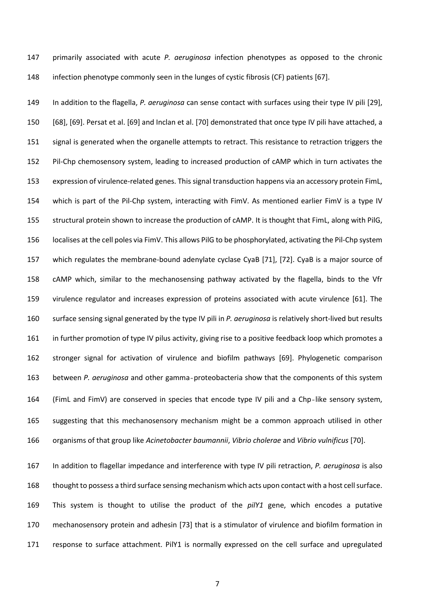primarily associated with acute *P. aeruginosa* infection phenotypes as opposed to the chronic infection phenotype commonly seen in the lunges of cystic fibrosis (CF) patients [67].

 In addition to the flagella, *P. aeruginosa* can sense contact with surfaces using their type IV pili [29], [68], [69]. Persat et al. [69] and Inclan et al. [70] demonstrated that once type IV pili have attached, a 151 signal is generated when the organelle attempts to retract. This resistance to retraction triggers the Pil-Chp chemosensory system, leading to increased production of cAMP which in turn activates the expression of virulence-related genes. This signal transduction happens via an accessory protein FimL, which is part of the Pil-Chp system, interacting with FimV. As mentioned earlier FimV is a type IV structural protein shown to increase the production of cAMP. It is thought that FimL, along with PilG, localises at the cell poles via FimV. This allows PilG to be phosphorylated, activating the Pil-Chp system which regulates the membrane-bound adenylate cyclase CyaB [71], [72]. CyaB is a major source of cAMP which, similar to the mechanosensing pathway activated by the flagella, binds to the Vfr virulence regulator and increases expression of proteins associated with acute virulence [61]. The surface sensing signal generated by the type IV pili in *P. aeruginosa* is relatively short-lived but results in further promotion of type IV pilus activity, giving rise to a positive feedback loop which promotes a stronger signal for activation of virulence and biofilm pathways [69]. Phylogenetic comparison between *P. aeruginosa* and other gamma‐proteobacteria show that the components of this system (FimL and FimV) are conserved in species that encode type IV pili and a Chp‐like sensory system, suggesting that this mechanosensory mechanism might be a common approach utilised in other organisms of that group like *Acinetobacter baumannii*, *Vibrio cholerae* and *Vibrio vulnificus* [70].

 In addition to flagellar impedance and interference with type IV pili retraction, *P. aeruginosa* is also thought to possess a third surface sensing mechanism which acts upon contact with a host cell surface. This system is thought to utilise the product of the *pilY1* gene, which encodes a putative mechanosensory protein and adhesin [73] that is a stimulator of virulence and biofilm formation in response to surface attachment. PilY1 is normally expressed on the cell surface and upregulated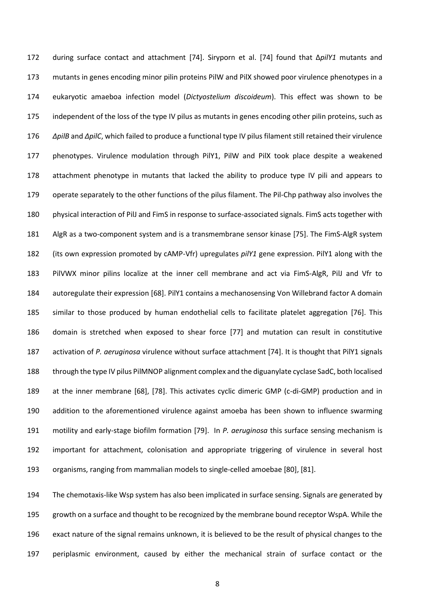during surface contact and attachment [74]. Siryporn et al. [74] found that Δ*pilY1* mutants and mutants in genes encoding minor pilin proteins PilW and PilX showed poor virulence phenotypes in a eukaryotic amaeboa infection model (*Dictyostelium discoideum*). This effect was shown to be 175 independent of the loss of the type IV pilus as mutants in genes encoding other pilin proteins, such as *ΔpilB* and *ΔpilC*, which failed to produce a functional type IV pilus filament still retained their virulence phenotypes. Virulence modulation through PilY1, PilW and PilX took place despite a weakened attachment phenotype in mutants that lacked the ability to produce type IV pili and appears to operate separately to the other functions of the pilus filament. The Pil-Chp pathway also involves the physical interaction of PilJ and FimS in response to surface-associated signals. FimS acts together with AlgR as a two-component system and is a transmembrane sensor kinase [75]. The FimS-AlgR system (its own expression promoted by cAMP-Vfr) upregulates *pilY1* gene expression. PilY1 along with the PilVWX minor pilins localize at the inner cell membrane and act via FimS-AlgR, PilJ and Vfr to autoregulate their expression [68]. PilY1 contains a mechanosensing Von Willebrand factor A domain similar to those produced by human endothelial cells to facilitate platelet aggregation [76]. This domain is stretched when exposed to shear force [77] and mutation can result in constitutive activation of *P. aeruginosa* virulence without surface attachment [74]. It is thought that PilY1 signals through the type IV pilus PilMNOP alignment complex and the diguanylate cyclase SadC, both localised at the inner membrane [68], [78]. This activates cyclic dimeric GMP (c-di-GMP) production and in addition to the aforementioned virulence against amoeba has been shown to influence swarming motility and early-stage biofilm formation [79]. In *P. aeruginosa* this surface sensing mechanism is important for attachment, colonisation and appropriate triggering of virulence in several host organisms, ranging from mammalian models to single-celled amoebae [80], [81].

 The chemotaxis-like Wsp system has also been implicated in surface sensing. Signals are generated by growth on a surface and thought to be recognized by the membrane bound receptor WspA. While the exact nature of the signal remains unknown, it is believed to be the result of physical changes to the periplasmic environment, caused by either the mechanical strain of surface contact or the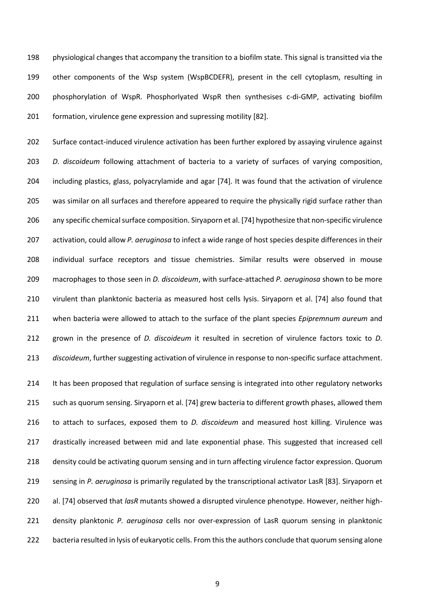physiological changes that accompany the transition to a biofilm state. This signal is transitted via the other components of the Wsp system (WspBCDEFR), present in the cell cytoplasm, resulting in phosphorylation of WspR. Phosphorlyated WspR then synthesises c-di-GMP, activating biofilm formation, virulence gene expression and supressing motility [82].

 Surface contact-induced virulence activation has been further explored by assaying virulence against *D. discoideum* following attachment of bacteria to a variety of surfaces of varying composition, including plastics, glass, polyacrylamide and agar [74]. It was found that the activation of virulence was similar on all surfaces and therefore appeared to require the physically rigid surface rather than any specific chemical surface composition. Siryaporn et al. [74] hypothesize that non-specific virulence activation, could allow *P. aeruginosa* to infect a wide range of host species despite differences in their individual surface receptors and tissue chemistries. Similar results were observed in mouse macrophages to those seen in *D. discoideum*, with surface-attached *P. aeruginosa* shown to be more virulent than planktonic bacteria as measured host cells lysis. Siryaporn et al. [74] also found that when bacteria were allowed to attach to the surface of the plant species *Epipremnum aureum* and grown in the presence of *D. discoideum* it resulted in secretion of virulence factors toxic to *D. discoideum*, further suggesting activation of virulence in response to non-specific surface attachment.

 It has been proposed that regulation of surface sensing is integrated into other regulatory networks such as quorum sensing. Siryaporn et al. [74] grew bacteria to different growth phases, allowed them to attach to surfaces, exposed them to *D. discoideum* and measured host killing. Virulence was drastically increased between mid and late exponential phase. This suggested that increased cell density could be activating quorum sensing and in turn affecting virulence factor expression. Quorum sensing in *P. aeruginosa* is primarily regulated by the transcriptional activator LasR [83]. Siryaporn et al. [74] observed that *lasR* mutants showed a disrupted virulence phenotype. However, neither high- density planktonic *P. aeruginosa* cells nor over-expression of LasR quorum sensing in planktonic bacteria resulted in lysis of eukaryotic cells. From this the authors conclude that quorum sensing alone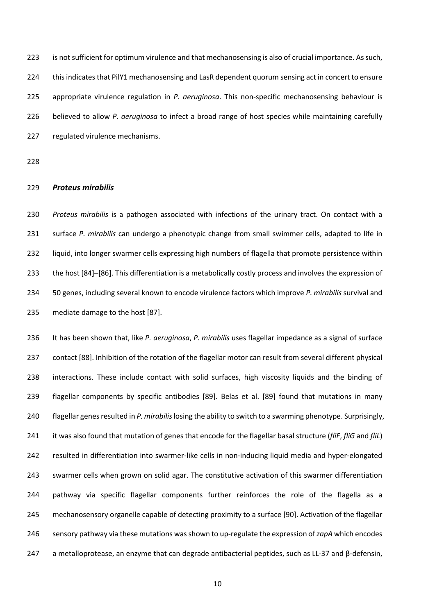is not sufficient for optimum virulence and that mechanosensing is also of crucial importance. As such, this indicates that PilY1 mechanosensing and LasR dependent quorum sensing act in concert to ensure appropriate virulence regulation in *P. aeruginosa*. This non-specific mechanosensing behaviour is believed to allow *P. aeruginosa* to infect a broad range of host species while maintaining carefully regulated virulence mechanisms.

## *Proteus mirabilis*

 *Proteus mirabilis* is a pathogen associated with infections of the urinary tract. On contact with a surface *P. mirabilis* can undergo a phenotypic change from small swimmer cells, adapted to life in liquid, into longer swarmer cells expressing high numbers of flagella that promote persistence within the host [84]–[86]. This differentiation is a metabolically costly process and involves the expression of 50 genes, including several known to encode virulence factors which improve *P. mirabilis* survival and mediate damage to the host [87].

 It has been shown that, like *P. aeruginosa*, *P. mirabilis* uses flagellar impedance as a signal of surface contact [88]. Inhibition of the rotation of the flagellar motor can result from several different physical interactions. These include contact with solid surfaces, high viscosity liquids and the binding of flagellar components by specific antibodies [89]. Belas et al. [89] found that mutations in many flagellar genes resulted in *P. mirabilis*losing the ability to switch to a swarming phenotype. Surprisingly, it was also found that mutation of genes that encode for the flagellar basal structure (*fliF*, *fliG* and *fliL*) resulted in differentiation into swarmer-like cells in non-inducing liquid media and hyper-elongated swarmer cells when grown on solid agar. The constitutive activation of this swarmer differentiation pathway via specific flagellar components further reinforces the role of the flagella as a mechanosensory organelle capable of detecting proximity to a surface [90]. Activation of the flagellar sensory pathway via these mutations was shown to up-regulate the expression of *zapA* which encodes a metalloprotease, an enzyme that can degrade antibacterial peptides, such as LL-37 and β-defensin,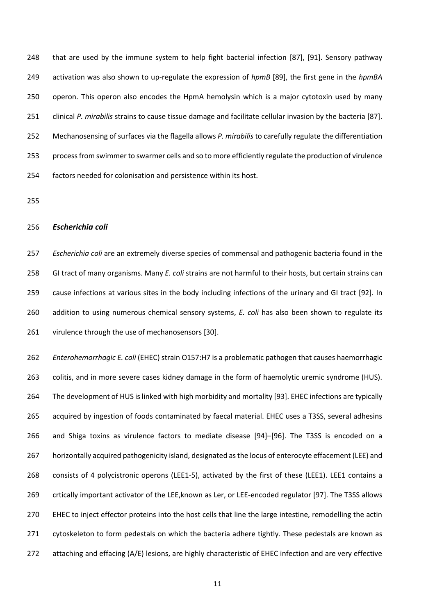that are used by the immune system to help fight bacterial infection [87], [91]. Sensory pathway activation was also shown to up-regulate the expression of *hpmB* [89], the first gene in the *hpmBA* operon. This operon also encodes the HpmA hemolysin which is a major cytotoxin used by many clinical *P. mirabilis* strains to cause tissue damage and facilitate cellular invasion by the bacteria [87]. Mechanosensing of surfaces via the flagella allows *P. mirabilis* to carefully regulate the differentiation process from swimmer to swarmer cells and so to more efficiently regulate the production of virulence factors needed for colonisation and persistence within its host.

#### *Escherichia coli*

 *Escherichia coli* are an extremely diverse species of commensal and pathogenic bacteria found in the GI tract of many organisms. Many *E. coli* strains are not harmful to their hosts, but certain strains can cause infections at various sites in the body including infections of the urinary and GI tract [92]. In addition to using numerous chemical sensory systems, *E. coli* has also been shown to regulate its virulence through the use of mechanosensors [30].

 *Enterohemorrhagic E. coli* (EHEC) strain O157:H7 is a problematic pathogen that causes haemorrhagic colitis, and in more severe cases kidney damage in the form of haemolytic uremic syndrome (HUS). The development of HUS is linked with high morbidity and mortality [93]. EHEC infections are typically acquired by ingestion of foods contaminated by faecal material. EHEC uses a T3SS, several adhesins and Shiga toxins as virulence factors to mediate disease [94]–[96]. The T3SS is encoded on a horizontally acquired pathogenicity island, designated as the locus of enterocyte effacement (LEE) and 268 consists of 4 polycistronic operons (LEE1-5), activated by the first of these (LEE1). LEE1 contains a crtically important activator of the LEE,known as Ler, or LEE-encoded regulator [97]. The T3SS allows EHEC to inject effector proteins into the host cells that line the large intestine, remodelling the actin 271 cytoskeleton to form pedestals on which the bacteria adhere tightly. These pedestals are known as attaching and effacing (A/E) lesions, are highly characteristic of EHEC infection and are very effective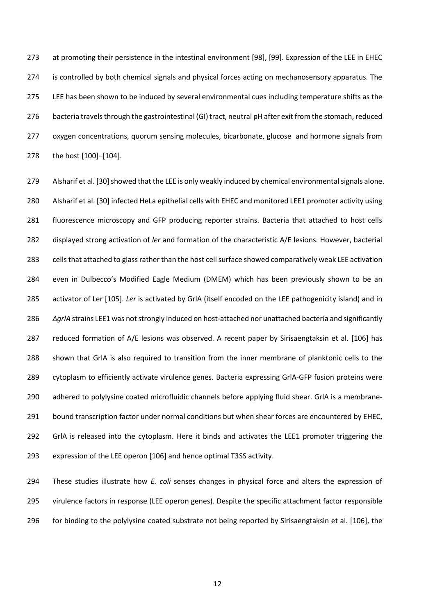at promoting their persistence in the intestinal environment [98], [99]. Expression of the LEE in EHEC is controlled by both chemical signals and physical forces acting on mechanosensory apparatus. The LEE has been shown to be induced by several environmental cues including temperature shifts as the bacteria travels through the gastrointestinal (GI) tract, neutral pH after exit from the stomach, reduced oxygen concentrations, quorum sensing molecules, bicarbonate, glucose and hormone signals from the host [100]–[104].

279 Alsharif et al. [30] showed that the LEE is only weakly induced by chemical environmental signals alone. Alsharif et al. [30] infected HeLa epithelial cells with EHEC and monitored LEE1 promoter activity using fluorescence microscopy and GFP producing reporter strains. Bacteria that attached to host cells displayed strong activation of *ler* and formation of the characteristic A/E lesions. However, bacterial cells that attached to glass rather than the host cell surface showed comparatively weak LEE activation even in Dulbecco's Modified Eagle Medium (DMEM) which has been previously shown to be an activator of Ler [105]. *Ler* is activated by GrlA (itself encoded on the LEE pathogenicity island) and in *ΔgrlA* strains LEE1 was not strongly induced on host-attached nor unattached bacteria and significantly reduced formation of A/E lesions was observed. A recent paper by Sirisaengtaksin et al. [106] has shown that GrlA is also required to transition from the inner membrane of planktonic cells to the cytoplasm to efficiently activate virulence genes. Bacteria expressing GrlA-GFP fusion proteins were adhered to polylysine coated microfluidic channels before applying fluid shear. GrlA is a membrane-291 bound transcription factor under normal conditions but when shear forces are encountered by EHEC, 292 GrIA is released into the cytoplasm. Here it binds and activates the LEE1 promoter triggering the expression of the LEE operon [106] and hence optimal T3SS activity.

 These studies illustrate how *E. coli* senses changes in physical force and alters the expression of virulence factors in response (LEE operon genes). Despite the specific attachment factor responsible for binding to the polylysine coated substrate not being reported by Sirisaengtaksin et al. [106], the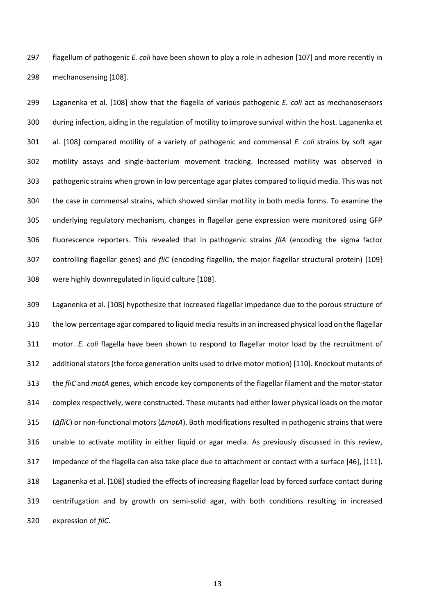flagellum of pathogenic *E. coli* have been shown to play a role in adhesion [107] and more recently in mechanosensing [108].

 Laganenka et al. [108] show that the flagella of various pathogenic *E. coli* act as mechanosensors during infection, aiding in the regulation of motility to improve survival within the host. Laganenka et al. [108] compared motility of a variety of pathogenic and commensal *E. coli* strains by soft agar motility assays and single-bacterium movement tracking. Increased motility was observed in pathogenic strains when grown in low percentage agar plates compared to liquid media. This was not the case in commensal strains, which showed similar motility in both media forms. To examine the underlying regulatory mechanism, changes in flagellar gene expression were monitored using GFP fluorescence reporters. This revealed that in pathogenic strains *fliA* (encoding the sigma factor controlling flagellar genes) and *fliC* (encoding flagellin, the major flagellar structural protein) [109] were highly downregulated in liquid culture [108].

 Laganenka et al. [108] hypothesize that increased flagellar impedance due to the porous structure of the low percentage agar compared to liquid media results in an increased physical load on the flagellar motor. *E. coli* flagella have been shown to respond to flagellar motor load by the recruitment of additional stators (the force generation units used to drive motor motion) [110]. Knockout mutants of the *fliC* and *motA* genes, which encode key components of the flagellar filament and the motor-stator complex respectively, were constructed. These mutants had either lower physical loads on the motor (*ΔfliC*) or non-functional motors (*ΔmotA*). Both modifications resulted in pathogenic strains that were unable to activate motility in either liquid or agar media. As previously discussed in this review, impedance of the flagella can also take place due to attachment or contact with a surface [46], [111]. Laganenka et al. [108] studied the effects of increasing flagellar load by forced surface contact during centrifugation and by growth on semi-solid agar, with both conditions resulting in increased expression of *fliC*.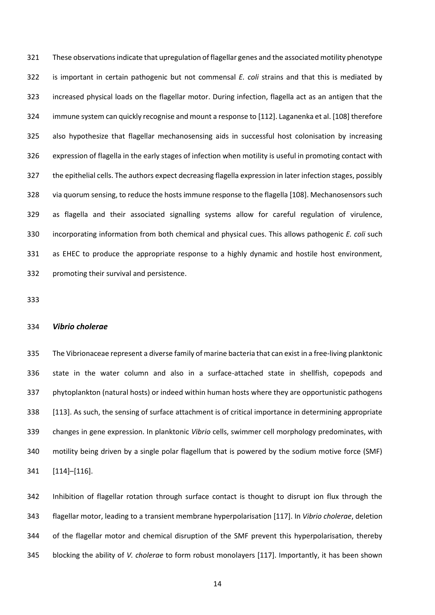These observationsindicate that upregulation of flagellar genes and the associated motility phenotype is important in certain pathogenic but not commensal *E. coli* strains and that this is mediated by increased physical loads on the flagellar motor. During infection, flagella act as an antigen that the immune system can quickly recognise and mount a response to [112]. Laganenka et al. [108] therefore also hypothesize that flagellar mechanosensing aids in successful host colonisation by increasing expression of flagella in the early stages of infection when motility is useful in promoting contact with the epithelial cells. The authors expect decreasing flagella expression in later infection stages, possibly via quorum sensing, to reduce the hosts immune response to the flagella [108]. Mechanosensors such as flagella and their associated signalling systems allow for careful regulation of virulence, incorporating information from both chemical and physical cues. This allows pathogenic *E. coli* such as EHEC to produce the appropriate response to a highly dynamic and hostile host environment, promoting their survival and persistence.

#### *Vibrio cholerae*

 The Vibrionaceae represent a diverse family of marine bacteria that can exist in a free-living planktonic state in the water column and also in a surface-attached state in shellfish, copepods and phytoplankton (natural hosts) or indeed within human hosts where they are opportunistic pathogens [113]. As such, the sensing of surface attachment is of critical importance in determining appropriate changes in gene expression. In planktonic *Vibrio* cells, swimmer cell morphology predominates, with motility being driven by a single polar flagellum that is powered by the sodium motive force (SMF) [114]–[116].

 Inhibition of flagellar rotation through surface contact is thought to disrupt ion flux through the flagellar motor, leading to a transient membrane hyperpolarisation [117]. In *Vibrio cholerae*, deletion of the flagellar motor and chemical disruption of the SMF prevent this hyperpolarisation, thereby blocking the ability of *V. cholerae* to form robust monolayers [117]. Importantly, it has been shown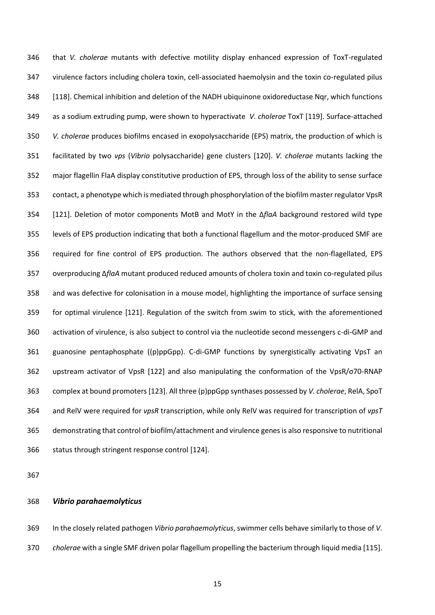that *V. cholerae* mutants with defective motility display enhanced expression of ToxT-regulated virulence factors including cholera toxin, cell-associated haemolysin and the toxin co-regulated pilus [118]. Chemical inhibition and deletion of the NADH ubiquinone oxidoreductase Nqr, which functions as a sodium extruding pump, were shown to hyperactivate *V. cholerae* ToxT [119]. Surface-attached *V. cholerae* produces biofilms encased in exopolysaccharide (EPS) matrix, the production of which is facilitated by two *vps* (*Vibrio* polysaccharide) gene clusters [120]. *V. cholerae* mutants lacking the major flagellin FlaA display constitutive production of EPS, through loss of the ability to sense surface contact, a phenotype which is mediated through phosphorylation of the biofilm master regulator VpsR [121]. Deletion of motor components MotB and MotY in the Δ*flaA* background restored wild type levels of EPS production indicating that both a functional flagellum and the motor-produced SMF are required for fine control of EPS production. The authors observed that the non-flagellated, EPS overproducing Δ*flaA* mutant produced reduced amounts of cholera toxin and toxin co-regulated pilus and was defective for colonisation in a mouse model, highlighting the importance of surface sensing for optimal virulence [121]. Regulation of the switch from swim to stick, with the aforementioned activation of virulence, is also subject to control via the nucleotide second messengers c-di-GMP and guanosine pentaphosphate ((p)ppGpp). C-di-GMP functions by synergistically activating VpsT an upstream activator of VpsR [122] and also manipulating the conformation of the VpsR/σ70-RNAP complex at bound promoters[123]. All three (p)ppGpp synthases possessed by *V. cholerae*, RelA, SpoT and RelV were required for *vpsR* transcription, while only RelV was required for transcription of *vpsT* demonstrating that control of biofilm/attachment and virulence genes is also responsive to nutritional status through stringent response control [124].

# *Vibrio parahaemolyticus*

 In the closely related pathogen *Vibrio parahaemolyticus*, swimmer cells behave similarly to those of *V. cholerae* with a single SMF driven polar flagellum propelling the bacterium through liquid media [115].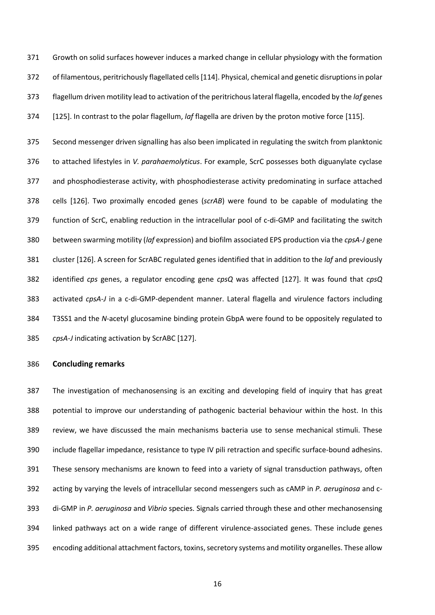Growth on solid surfaces however induces a marked change in cellular physiology with the formation of filamentous, peritrichously flagellated cells[114]. Physical, chemical and genetic disruptions in polar flagellum driven motility lead to activation of the peritrichous lateral flagella, encoded by the *laf* genes [125]. In contrast to the polar flagellum, *laf* flagella are driven by the proton motive force [115].

 Second messenger driven signalling has also been implicated in regulating the switch from planktonic to attached lifestyles in *V. parahaemolyticus*. For example, ScrC possesses both diguanylate cyclase and phosphodiesterase activity, with phosphodiesterase activity predominating in surface attached cells [126]. Two proximally encoded genes (*scrAB*) were found to be capable of modulating the function of ScrC, enabling reduction in the intracellular pool of c-di-GMP and facilitating the switch between swarming motility (*laf* expression) and biofilm associated EPS production via the *cpsA-J* gene cluster [126]. A screen for ScrABC regulated genes identified that in addition to the *laf* and previously identified *cps* genes, a regulator encoding gene *cpsQ* was affected [127]. It was found that *cpsQ* activated *cpsA-J* in a c-di-GMP-dependent manner. Lateral flagella and virulence factors including T3SS1 and the *N*-acetyl glucosamine binding protein GbpA were found to be oppositely regulated to *cpsA*-*J* indicating activation by ScrABC [127].

### **Concluding remarks**

 The investigation of mechanosensing is an exciting and developing field of inquiry that has great potential to improve our understanding of pathogenic bacterial behaviour within the host. In this review, we have discussed the main mechanisms bacteria use to sense mechanical stimuli. These include flagellar impedance, resistance to type IV pili retraction and specific surface-bound adhesins. These sensory mechanisms are known to feed into a variety of signal transduction pathways, often acting by varying the levels of intracellular second messengers such as cAMP in *P. aeruginosa* and c- di-GMP in *P. aeruginosa* and *Vibrio* species. Signals carried through these and other mechanosensing linked pathways act on a wide range of different virulence-associated genes. These include genes encoding additional attachment factors, toxins, secretory systems and motility organelles. These allow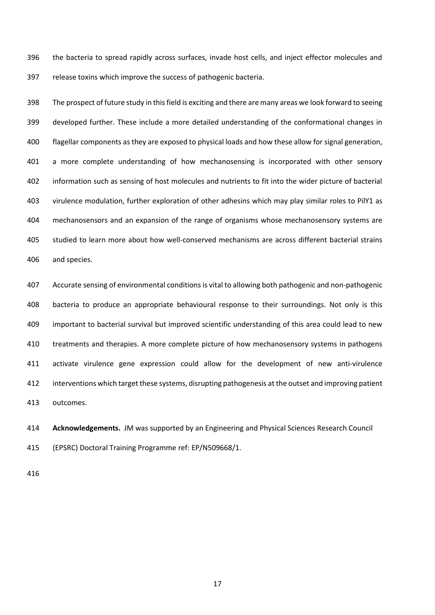the bacteria to spread rapidly across surfaces, invade host cells, and inject effector molecules and release toxins which improve the success of pathogenic bacteria.

 The prospect of future study in this field is exciting and there are many areas we look forward to seeing developed further. These include a more detailed understanding of the conformational changes in flagellar components as they are exposed to physical loads and how these allow for signal generation, a more complete understanding of how mechanosensing is incorporated with other sensory information such as sensing of host molecules and nutrients to fit into the wider picture of bacterial virulence modulation, further exploration of other adhesins which may play similar roles to PilY1 as mechanosensors and an expansion of the range of organisms whose mechanosensory systems are studied to learn more about how well-conserved mechanisms are across different bacterial strains and species.

 Accurate sensing of environmental conditions is vital to allowing both pathogenic and non-pathogenic bacteria to produce an appropriate behavioural response to their surroundings. Not only is this important to bacterial survival but improved scientific understanding of this area could lead to new treatments and therapies. A more complete picture of how mechanosensory systems in pathogens activate virulence gene expression could allow for the development of new anti-virulence interventions which target these systems, disrupting pathogenesis at the outset and improving patient outcomes.

 **Acknowledgements.** JM was supported by an Engineering and Physical Sciences Research Council (EPSRC) Doctoral Training Programme ref: EP/N509668/1.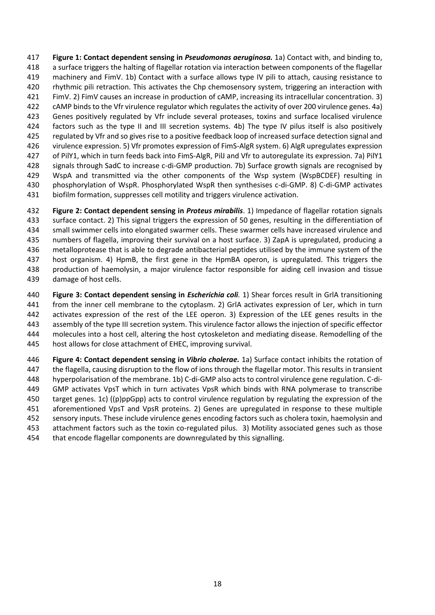**Figure 1: Contact dependent sensing in** *Pseudomonas aeruginosa.* 1a) Contact with, and binding to, a surface triggers the halting of flagellar rotation via interaction between components of the flagellar machinery and FimV. 1b) Contact with a surface allows type IV pili to attach, causing resistance to rhythmic pili retraction. This activates the Chp chemosensory system, triggering an interaction with FimV. 2) FimV causes an increase in production of cAMP, increasing its intracellular concentration. 3) cAMP binds to the Vfr virulence regulator which regulates the activity of over 200 virulence genes. 4a) Genes positively regulated by Vfr include several proteases, toxins and surface localised virulence factors such as the type II and III secretion systems. 4b) The type IV pilus itself is also positively regulated by Vfr and so gives rise to a positive feedback loop of increased surface detection signal and virulence expression. 5) Vfr promotes expression of FimS-AlgR system. 6) AlgR upregulates expression of PilY1, which in turn feeds back into FimS-AlgR, PilJ and Vfr to autoregulate its expression. 7a) PilY1 signals through SadC to increase c-di-GMP production. 7b) Surface growth signals are recognised by WspA and transmitted via the other components of the Wsp system (WspBCDEF) resulting in phosphorylation of WspR. Phosphorylated WspR then synthesises c-di-GMP. 8) C-di-GMP activates biofilm formation, suppresses cell motility and triggers virulence activation.

 **Figure 2: Contact dependent sensing in** *Proteus mirabilis*. 1) Impedance of flagellar rotation signals surface contact. 2) This signal triggers the expression of 50 genes, resulting in the differentiation of small swimmer cells into elongated swarmer cells. These swarmer cells have increased virulence and numbers of flagella, improving their survival on a host surface. 3) ZapA is upregulated, producing a metalloprotease that is able to degrade antibacterial peptides utilised by the immune system of the host organism. 4) HpmB, the first gene in the HpmBA operon, is upregulated. This triggers the production of haemolysin, a major virulence factor responsible for aiding cell invasion and tissue damage of host cells.

 **Figure 3: Contact dependent sensing in** *Escherichia coli.* 1) Shear forces result in GrlA transitioning from the inner cell membrane to the cytoplasm. 2) GrlA activates expression of Ler, which in turn activates expression of the rest of the LEE operon. 3) Expression of the LEE genes results in the assembly of the type III secretion system. This virulence factor allows the injection of specific effector molecules into a host cell, altering the host cytoskeleton and mediating disease. Remodelling of the host allows for close attachment of EHEC, improving survival.

 **Figure 4: Contact dependent sensing in** *Vibrio cholerae.* 1a) Surface contact inhibits the rotation of the flagella, causing disruption to the flow of ions through the flagellar motor. This results in transient hyperpolarisation of the membrane. 1b) C-di-GMP also acts to control virulence gene regulation. C-di- GMP activates VpsT which in turn activates VpsR which binds with RNA polymerase to transcribe target genes. 1c) ((p)ppGpp) acts to control virulence regulation by regulating the expression of the aforementioned VpsT and VpsR proteins. 2) Genes are upregulated in response to these multiple 452 sensory inputs. These include virulence genes encoding factors such as cholera toxin, haemolysin and attachment factors such as the toxin co-regulated pilus. 3) Motility associated genes such as those that encode flagellar components are downregulated by this signalling.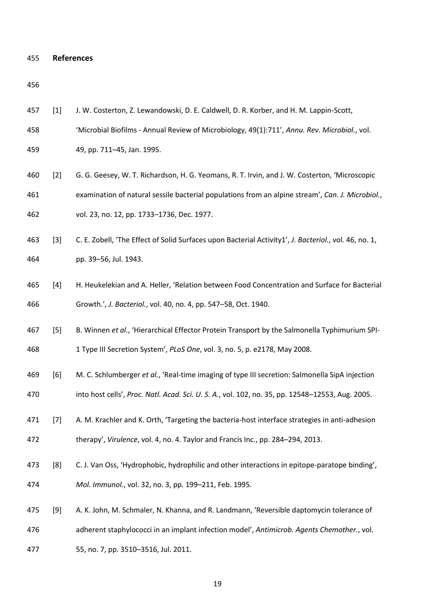```
455 References
```
- [1] J. W. Costerton, Z. Lewandowski, D. E. Caldwell, D. R. Korber, and H. M. Lappin-Scott,
- 'Microbial Biofilms Annual Review of Microbiology, 49(1):711', *Annu. Rev. Microbiol.*, vol.
- 49, pp. 711–45, Jan. 1995.
- [2] G. G. Geesey, W. T. Richardson, H. G. Yeomans, R. T. Irvin, and J. W. Costerton, 'Microscopic examination of natural sessile bacterial populations from an alpine stream', *Can. J. Microbiol.*, vol. 23, no. 12, pp. 1733–1736, Dec. 1977.
- [3] C. E. Zobell, 'The Effect of Solid Surfaces upon Bacterial Activity1', *J. Bacteriol.*, vol. 46, no. 1, pp. 39–56, Jul. 1943.
- [4] H. Heukelekian and A. Heller, 'Relation between Food Concentration and Surface for Bacterial Growth.', *J. Bacteriol.*, vol. 40, no. 4, pp. 547–58, Oct. 1940.
- [5] B. Winnen *et al.*, 'Hierarchical Effector Protein Transport by the Salmonella Typhimurium SPI-

1 Type III Secretion System', *PLoS One*, vol. 3, no. 5, p. e2178, May 2008.

- [6] M. C. Schlumberger *et al.*, 'Real-time imaging of type III secretion: Salmonella SipA injection into host cells', *Proc. Natl. Acad. Sci. U. S. A.*, vol. 102, no. 35, pp. 12548–12553, Aug. 2005.
- [7] A. M. Krachler and K. Orth, 'Targeting the bacteria-host interface strategies in anti-adhesion therapy', *Virulence*, vol. 4, no. 4. Taylor and Francis Inc., pp. 284–294, 2013.
- [8] C. J. Van Oss, 'Hydrophobic, hydrophilic and other interactions in epitope-paratope binding', *Mol. Immunol.*, vol. 32, no. 3, pp. 199–211, Feb. 1995.
- [9] A. K. John, M. Schmaler, N. Khanna, and R. Landmann, 'Reversible daptomycin tolerance of
- adherent staphylococci in an implant infection model', *Antimicrob. Agents Chemother.*, vol.
- 55, no. 7, pp. 3510–3516, Jul. 2011.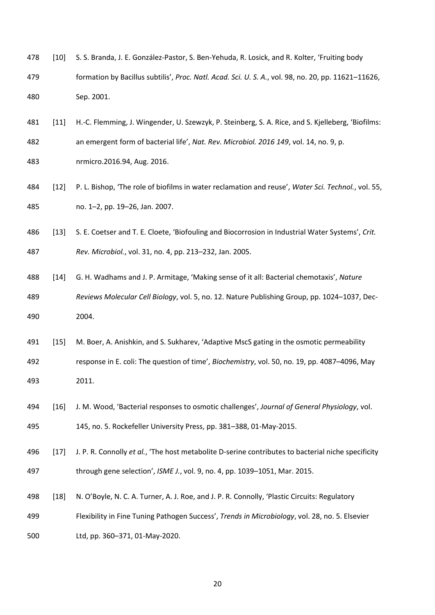- [10] S. S. Branda, J. E. González-Pastor, S. Ben-Yehuda, R. Losick, and R. Kolter, 'Fruiting body formation by Bacillus subtilis', *Proc. Natl. Acad. Sci. U. S. A.*, vol. 98, no. 20, pp. 11621–11626, Sep. 2001.
- [11] H.-C. Flemming, J. Wingender, U. Szewzyk, P. Steinberg, S. A. Rice, and S. Kjelleberg, 'Biofilms: an emergent form of bacterial life', *Nat. Rev. Microbiol. 2016 149*, vol. 14, no. 9, p.
- nrmicro.2016.94, Aug. 2016.
- [12] P. L. Bishop, 'The role of biofilms in water reclamation and reuse', *Water Sci. Technol.*, vol. 55, no. 1–2, pp. 19–26, Jan. 2007.
- [13] S. E. Coetser and T. E. Cloete, 'Biofouling and Biocorrosion in Industrial Water Systems', *Crit. Rev. Microbiol.*, vol. 31, no. 4, pp. 213–232, Jan. 2005.
- [14] G. H. Wadhams and J. P. Armitage, 'Making sense of it all: Bacterial chemotaxis', *Nature Reviews Molecular Cell Biology*, vol. 5, no. 12. Nature Publishing Group, pp. 1024–1037, Dec-2004.
- [15] M. Boer, A. Anishkin, and S. Sukharev, 'Adaptive MscS gating in the osmotic permeability
- response in E. coli: The question of time', *Biochemistry*, vol. 50, no. 19, pp. 4087–4096, May 2011.
- [16] J. M. Wood, 'Bacterial responses to osmotic challenges', *Journal of General Physiology*, vol. 145, no. 5. Rockefeller University Press, pp. 381–388, 01-May-2015.
- [17] J. P. R. Connolly *et al.*, 'The host metabolite D-serine contributes to bacterial niche specificity through gene selection', *ISME J.*, vol. 9, no. 4, pp. 1039–1051, Mar. 2015.
- [18] N. O'Boyle, N. C. A. Turner, A. J. Roe, and J. P. R. Connolly, 'Plastic Circuits: Regulatory
- Flexibility in Fine Tuning Pathogen Success', *Trends in Microbiology*, vol. 28, no. 5. Elsevier
- Ltd, pp. 360–371, 01-May-2020.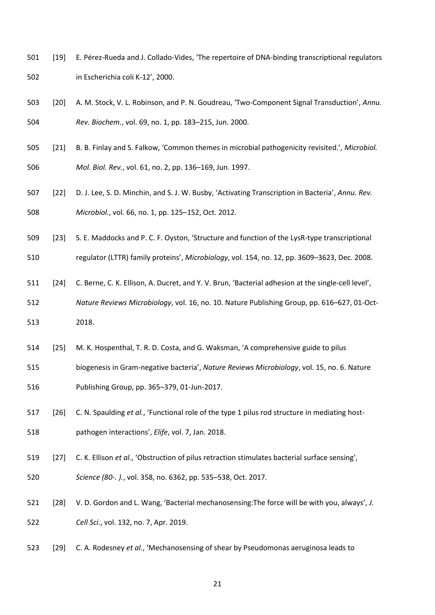- [19] E. Pérez-Rueda and J. Collado-Vides, 'The repertoire of DNA-binding transcriptional regulators in Escherichia coli K-12', 2000.
- [20] A. M. Stock, V. L. Robinson, and P. N. Goudreau, 'Two-Component Signal Transduction', *Annu. Rev. Biochem.*, vol. 69, no. 1, pp. 183–215, Jun. 2000.
- [21] B. B. Finlay and S. Falkow, 'Common themes in microbial pathogenicity revisited.', *Microbiol. Mol. Biol. Rev.*, vol. 61, no. 2, pp. 136–169, Jun. 1997.
- [22] D. J. Lee, S. D. Minchin, and S. J. W. Busby, 'Activating Transcription in Bacteria', *Annu. Rev. Microbiol.*, vol. 66, no. 1, pp. 125–152, Oct. 2012.
- [23] S. E. Maddocks and P. C. F. Oyston, 'Structure and function of the LysR-type transcriptional

regulator (LTTR) family proteins', *Microbiology*, vol. 154, no. 12, pp. 3609–3623, Dec. 2008.

[24] C. Berne, C. K. Ellison, A. Ducret, and Y. V. Brun, 'Bacterial adhesion at the single-cell level',

 *Nature Reviews Microbiology*, vol. 16, no. 10. Nature Publishing Group, pp. 616–627, 01-Oct-2018.

- [25] M. K. Hospenthal, T. R. D. Costa, and G. Waksman, 'A comprehensive guide to pilus
- biogenesis in Gram-negative bacteria', *Nature Reviews Microbiology*, vol. 15, no. 6. Nature Publishing Group, pp. 365–379, 01-Jun-2017.
- [26] C. N. Spaulding *et al.*, 'Functional role of the type 1 pilus rod structure in mediating host-pathogen interactions', *Elife*, vol. 7, Jan. 2018.
- [27] C. K. Ellison *et al.*, 'Obstruction of pilus retraction stimulates bacterial surface sensing',
- *Science (80-. ).*, vol. 358, no. 6362, pp. 535–538, Oct. 2017.
- [28] V. D. Gordon and L. Wang, 'Bacterial mechanosensing:The force will be with you, always', *J. Cell Sci.*, vol. 132, no. 7, Apr. 2019.
- [29] C. A. Rodesney *et al.*, 'Mechanosensing of shear by Pseudomonas aeruginosa leads to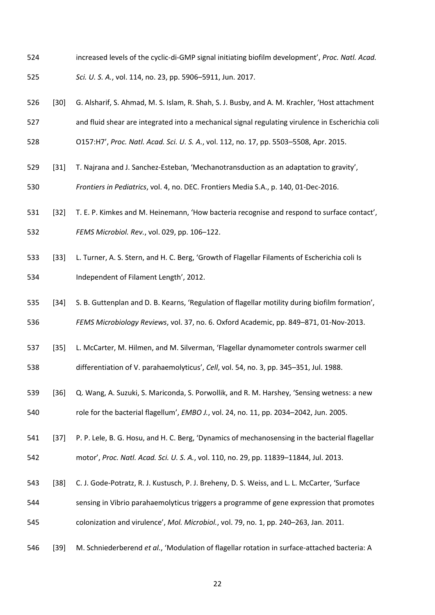- increased levels of the cyclic-di-GMP signal initiating biofilm development', *Proc. Natl. Acad. Sci. U. S. A.*, vol. 114, no. 23, pp. 5906–5911, Jun. 2017.
- [30] G. Alsharif, S. Ahmad, M. S. Islam, R. Shah, S. J. Busby, and A. M. Krachler, 'Host attachment
- and fluid shear are integrated into a mechanical signal regulating virulence in Escherichia coli
- O157:H7', *Proc. Natl. Acad. Sci. U. S. A.*, vol. 112, no. 17, pp. 5503–5508, Apr. 2015.
- [31] T. Najrana and J. Sanchez-Esteban, 'Mechanotransduction as an adaptation to gravity',
- *Frontiers in Pediatrics*, vol. 4, no. DEC. Frontiers Media S.A., p. 140, 01-Dec-2016.
- [32] T. E. P. Kimkes and M. Heinemann, 'How bacteria recognise and respond to surface contact', *FEMS Microbiol. Rev.*, vol. 029, pp. 106–122.
- [33] L. Turner, A. S. Stern, and H. C. Berg, 'Growth of Flagellar Filaments of Escherichia coli Is Independent of Filament Length', 2012.
- [34] S. B. Guttenplan and D. B. Kearns, 'Regulation of flagellar motility during biofilm formation', *FEMS Microbiology Reviews*, vol. 37, no. 6. Oxford Academic, pp. 849–871, 01-Nov-2013.
- [35] L. McCarter, M. Hilmen, and M. Silverman, 'Flagellar dynamometer controls swarmer cell differentiation of V. parahaemolyticus', *Cell*, vol. 54, no. 3, pp. 345–351, Jul. 1988.
- [36] Q. Wang, A. Suzuki, S. Mariconda, S. Porwollik, and R. M. Harshey, 'Sensing wetness: a new role for the bacterial flagellum', *EMBO J.*, vol. 24, no. 11, pp. 2034–2042, Jun. 2005.
- [37] P. P. Lele, B. G. Hosu, and H. C. Berg, 'Dynamics of mechanosensing in the bacterial flagellar
- motor', *Proc. Natl. Acad. Sci. U. S. A.*, vol. 110, no. 29, pp. 11839–11844, Jul. 2013.
- [38] C. J. Gode-Potratz, R. J. Kustusch, P. J. Breheny, D. S. Weiss, and L. L. McCarter, 'Surface
- sensing in Vibrio parahaemolyticus triggers a programme of gene expression that promotes colonization and virulence', *Mol. Microbiol.*, vol. 79, no. 1, pp. 240–263, Jan. 2011.
- [39] M. Schniederberend *et al.*, 'Modulation of flagellar rotation in surface-attached bacteria: A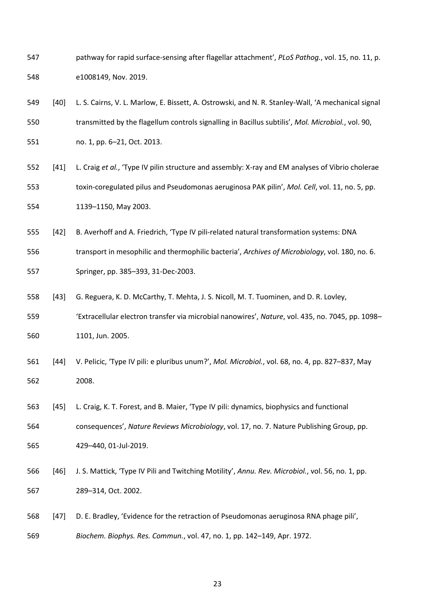- pathway for rapid surface-sensing after flagellar attachment', *PLoS Pathog.*, vol. 15, no. 11, p. e1008149, Nov. 2019.
- [40] L. S. Cairns, V. L. Marlow, E. Bissett, A. Ostrowski, and N. R. Stanley-Wall, 'A mechanical signal transmitted by the flagellum controls signalling in Bacillus subtilis', *Mol. Microbiol.*, vol. 90,
- no. 1, pp. 6–21, Oct. 2013.
- [41] L. Craig *et al.*, 'Type IV pilin structure and assembly: X-ray and EM analyses of Vibrio cholerae toxin-coregulated pilus and Pseudomonas aeruginosa PAK pilin', *Mol. Cell*, vol. 11, no. 5, pp. 1139–1150, May 2003.
- [42] B. Averhoff and A. Friedrich, 'Type IV pili-related natural transformation systems: DNA
- transport in mesophilic and thermophilic bacteria', *Archives of Microbiology*, vol. 180, no. 6.
- Springer, pp. 385–393, 31-Dec-2003.
- [43] G. Reguera, K. D. McCarthy, T. Mehta, J. S. Nicoll, M. T. Tuominen, and D. R. Lovley,
- 'Extracellular electron transfer via microbial nanowires', *Nature*, vol. 435, no. 7045, pp. 1098– 1101, Jun. 2005.
- [44] V. Pelicic, 'Type IV pili: e pluribus unum?', *Mol. Microbiol.*, vol. 68, no. 4, pp. 827–837, May 2008.
- [45] L. Craig, K. T. Forest, and B. Maier, 'Type IV pili: dynamics, biophysics and functional consequences', *Nature Reviews Microbiology*, vol. 17, no. 7. Nature Publishing Group, pp. 429–440, 01-Jul-2019.
- [46] J. S. Mattick, 'Type IV Pili and Twitching Motility', *Annu. Rev. Microbiol.*, vol. 56, no. 1, pp. 289–314, Oct. 2002.
- [47] D. E. Bradley, 'Evidence for the retraction of Pseudomonas aeruginosa RNA phage pili', *Biochem. Biophys. Res. Commun.*, vol. 47, no. 1, pp. 142–149, Apr. 1972.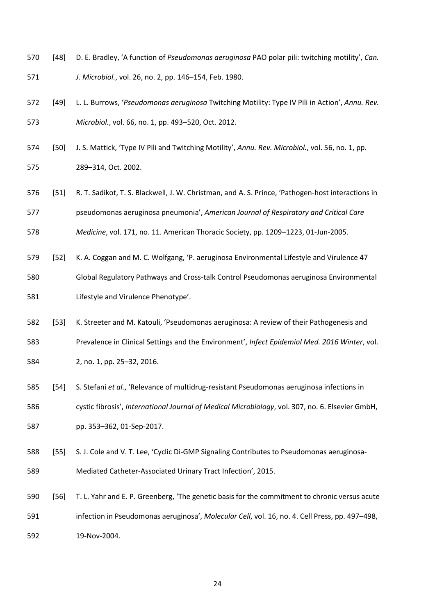- [48] D. E. Bradley, 'A function of *Pseudomonas aeruginosa* PAO polar pili: twitching motility', *Can.*
- *J. Microbiol.*, vol. 26, no. 2, pp. 146–154, Feb. 1980.
- [49] L. L. Burrows, '*Pseudomonas aeruginosa* Twitching Motility: Type IV Pili in Action', *Annu. Rev. Microbiol.*, vol. 66, no. 1, pp. 493–520, Oct. 2012.
- [50] J. S. Mattick, 'Type IV Pili and Twitching Motility', *Annu. Rev. Microbiol.*, vol. 56, no. 1, pp. 289–314, Oct. 2002.
- [51] R. T. Sadikot, T. S. Blackwell, J. W. Christman, and A. S. Prince, 'Pathogen-host interactions in pseudomonas aeruginosa pneumonia', *American Journal of Respiratory and Critical Care*
- *Medicine*, vol. 171, no. 11. American Thoracic Society, pp. 1209–1223, 01-Jun-2005.
- [52] K. A. Coggan and M. C. Wolfgang, 'P. aeruginosa Environmental Lifestyle and Virulence 47
- Global Regulatory Pathways and Cross-talk Control Pseudomonas aeruginosa Environmental Lifestyle and Virulence Phenotype'.
- [53] K. Streeter and M. Katouli, 'Pseudomonas aeruginosa: A review of their Pathogenesis and
- Prevalence in Clinical Settings and the Environment', *Infect Epidemiol Med. 2016 Winter*, vol.
- 2, no. 1, pp. 25–32, 2016.
- [54] S. Stefani *et al.*, 'Relevance of multidrug-resistant Pseudomonas aeruginosa infections in
- cystic fibrosis', *International Journal of Medical Microbiology*, vol. 307, no. 6. Elsevier GmbH,
- pp. 353–362, 01-Sep-2017.
- [55] S. J. Cole and V. T. Lee, 'Cyclic Di-GMP Signaling Contributes to Pseudomonas aeruginosa-Mediated Catheter-Associated Urinary Tract Infection', 2015.
- [56] T. L. Yahr and E. P. Greenberg, 'The genetic basis for the commitment to chronic versus acute infection in Pseudomonas aeruginosa', *Molecular Cell*, vol. 16, no. 4. Cell Press, pp. 497–498, 19-Nov-2004.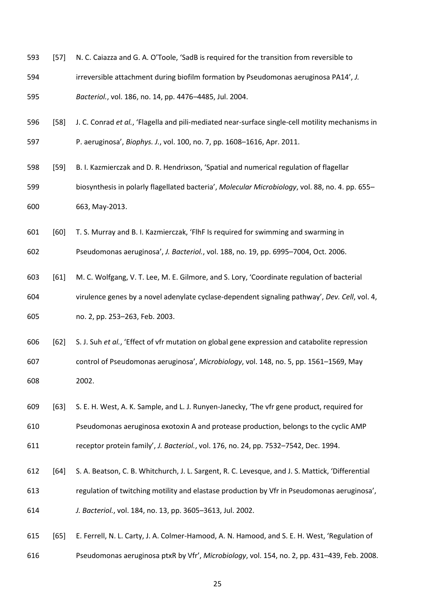- [57] N. C. Caiazza and G. A. O'Toole, 'SadB is required for the transition from reversible to
- irreversible attachment during biofilm formation by Pseudomonas aeruginosa PA14', *J.*
- *Bacteriol.*, vol. 186, no. 14, pp. 4476–4485, Jul. 2004.
- [58] J. C. Conrad *et al.*, 'Flagella and pili-mediated near-surface single-cell motility mechanisms in
- P. aeruginosa', *Biophys. J.*, vol. 100, no. 7, pp. 1608–1616, Apr. 2011.
- [59] B. I. Kazmierczak and D. R. Hendrixson, 'Spatial and numerical regulation of flagellar biosynthesis in polarly flagellated bacteria', *Molecular Microbiology*, vol. 88, no. 4. pp. 655– 663, May-2013.
- [60] T. S. Murray and B. I. Kazmierczak, 'FlhF Is required for swimming and swarming in

Pseudomonas aeruginosa', *J. Bacteriol.*, vol. 188, no. 19, pp. 6995–7004, Oct. 2006.

- [61] M. C. Wolfgang, V. T. Lee, M. E. Gilmore, and S. Lory, 'Coordinate regulation of bacterial virulence genes by a novel adenylate cyclase-dependent signaling pathway', *Dev. Cell*, vol. 4, no. 2, pp. 253–263, Feb. 2003.
- [62] S. J. Suh *et al.*, 'Effect of vfr mutation on global gene expression and catabolite repression control of Pseudomonas aeruginosa', *Microbiology*, vol. 148, no. 5, pp. 1561–1569, May 2002.
- [63] S. E. H. West, A. K. Sample, and L. J. Runyen-Janecky, 'The vfr gene product, required for Pseudomonas aeruginosa exotoxin A and protease production, belongs to the cyclic AMP receptor protein family', *J. Bacteriol.*, vol. 176, no. 24, pp. 7532–7542, Dec. 1994.
- 612 [64] S. A. Beatson, C. B. Whitchurch, J. L. Sargent, R. C. Levesque, and J. S. Mattick, 'Differential regulation of twitching motility and elastase production by Vfr in Pseudomonas aeruginosa', *J. Bacteriol.*, vol. 184, no. 13, pp. 3605–3613, Jul. 2002.
- [65] E. Ferrell, N. L. Carty, J. A. Colmer-Hamood, A. N. Hamood, and S. E. H. West, 'Regulation of Pseudomonas aeruginosa ptxR by Vfr', *Microbiology*, vol. 154, no. 2, pp. 431–439, Feb. 2008.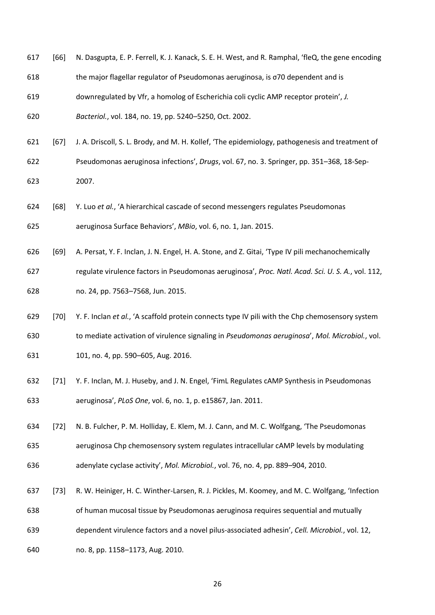| 617 | [66]   | N. Dasgupta, E. P. Ferrell, K. J. Kanack, S. E. H. West, and R. Ramphal, 'fleQ, the gene encoding |
|-----|--------|---------------------------------------------------------------------------------------------------|
| 618 |        | the major flagellar regulator of Pseudomonas aeruginosa, is o70 dependent and is                  |
| 619 |        | downregulated by Vfr, a homolog of Escherichia coli cyclic AMP receptor protein', J.              |
| 620 |        | Bacteriol., vol. 184, no. 19, pp. 5240-5250, Oct. 2002.                                           |
| 621 | $[67]$ | J. A. Driscoll, S. L. Brody, and M. H. Kollef, 'The epidemiology, pathogenesis and treatment of   |
| 622 |        | Pseudomonas aeruginosa infections', Drugs, vol. 67, no. 3. Springer, pp. 351-368, 18-Sep-         |
| 623 |        | 2007.                                                                                             |
| 624 | [68]   | Y. Luo et al., 'A hierarchical cascade of second messengers regulates Pseudomonas                 |
| 625 |        | aeruginosa Surface Behaviors', MBio, vol. 6, no. 1, Jan. 2015.                                    |
| 626 | $[69]$ | A. Persat, Y. F. Inclan, J. N. Engel, H. A. Stone, and Z. Gitai, 'Type IV pili mechanochemically  |
| 627 |        | regulate virulence factors in Pseudomonas aeruginosa', Proc. Natl. Acad. Sci. U. S. A., vol. 112, |
| 628 |        | no. 24, pp. 7563-7568, Jun. 2015.                                                                 |
| 629 | $[70]$ | Y. F. Inclan et al., 'A scaffold protein connects type IV pili with the Chp chemosensory system   |
| 630 |        | to mediate activation of virulence signaling in Pseudomonas aeruginosa', Mol. Microbiol., vol.    |
| 631 |        | 101, no. 4, pp. 590-605, Aug. 2016.                                                               |
| 632 | $[71]$ | Y. F. Inclan, M. J. Huseby, and J. N. Engel, 'FimL Regulates cAMP Synthesis in Pseudomonas        |
| 633 |        | aeruginosa', PLoS One, vol. 6, no. 1, p. e15867, Jan. 2011.                                       |
| 634 | $[72]$ | N. B. Fulcher, P. M. Holliday, E. Klem, M. J. Cann, and M. C. Wolfgang, 'The Pseudomonas          |
| 635 |        | aeruginosa Chp chemosensory system regulates intracellular cAMP levels by modulating              |

- adenylate cyclase activity', *Mol. Microbiol.*, vol. 76, no. 4, pp. 889–904, 2010.
- [73] R. W. Heiniger, H. C. Winther-Larsen, R. J. Pickles, M. Koomey, and M. C. Wolfgang, 'Infection
- of human mucosal tissue by Pseudomonas aeruginosa requires sequential and mutually
- dependent virulence factors and a novel pilus-associated adhesin', *Cell. Microbiol.*, vol. 12,
- no. 8, pp. 1158–1173, Aug. 2010.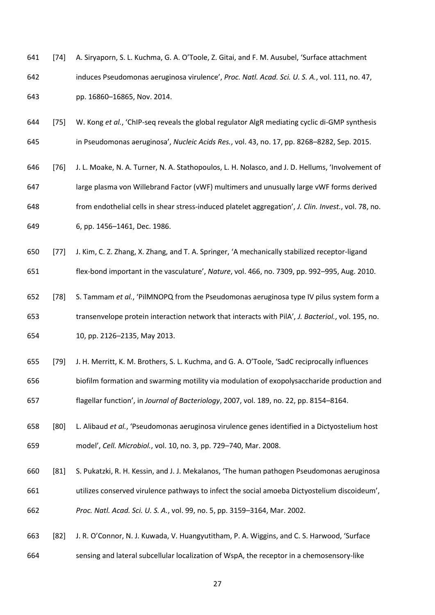- [74] A. Siryaporn, S. L. Kuchma, G. A. O'Toole, Z. Gitai, and F. M. Ausubel, 'Surface attachment induces Pseudomonas aeruginosa virulence', *Proc. Natl. Acad. Sci. U. S. A.*, vol. 111, no. 47, pp. 16860–16865, Nov. 2014.
- [75] W. Kong *et al.*, 'ChIP-seq reveals the global regulator AlgR mediating cyclic di-GMP synthesis in Pseudomonas aeruginosa', *Nucleic Acids Res.*, vol. 43, no. 17, pp. 8268–8282, Sep. 2015.
- [76] J. L. Moake, N. A. Turner, N. A. Stathopoulos, L. H. Nolasco, and J. D. Hellums, 'Involvement of large plasma von Willebrand Factor (vWF) multimers and unusually large vWF forms derived from endothelial cells in shear stress-induced platelet aggregation', *J. Clin. Invest.*, vol. 78, no. 6, pp. 1456–1461, Dec. 1986.
- [77] J. Kim, C. Z. Zhang, X. Zhang, and T. A. Springer, 'A mechanically stabilized receptor-ligand
- flex-bond important in the vasculature', *Nature*, vol. 466, no. 7309, pp. 992–995, Aug. 2010.
- [78] S. Tammam *et al.*, 'PilMNOPQ from the Pseudomonas aeruginosa type IV pilus system form a transenvelope protein interaction network that interacts with PilA', *J. Bacteriol.*, vol. 195, no. 10, pp. 2126–2135, May 2013.
- [79] J. H. Merritt, K. M. Brothers, S. L. Kuchma, and G. A. O'Toole, 'SadC reciprocally influences
- biofilm formation and swarming motility via modulation of exopolysaccharide production and flagellar function', in *Journal of Bacteriology*, 2007, vol. 189, no. 22, pp. 8154–8164.
- [80] L. Alibaud *et al.*, 'Pseudomonas aeruginosa virulence genes identified in a Dictyostelium host model', *Cell. Microbiol.*, vol. 10, no. 3, pp. 729–740, Mar. 2008.
- [81] S. Pukatzki, R. H. Kessin, and J. J. Mekalanos, 'The human pathogen Pseudomonas aeruginosa utilizes conserved virulence pathways to infect the social amoeba Dictyostelium discoideum', *Proc. Natl. Acad. Sci. U. S. A.*, vol. 99, no. 5, pp. 3159–3164, Mar. 2002.
- [82] J. R. O'Connor, N. J. Kuwada, V. Huangyutitham, P. A. Wiggins, and C. S. Harwood, 'Surface sensing and lateral subcellular localization of WspA, the receptor in a chemosensory-like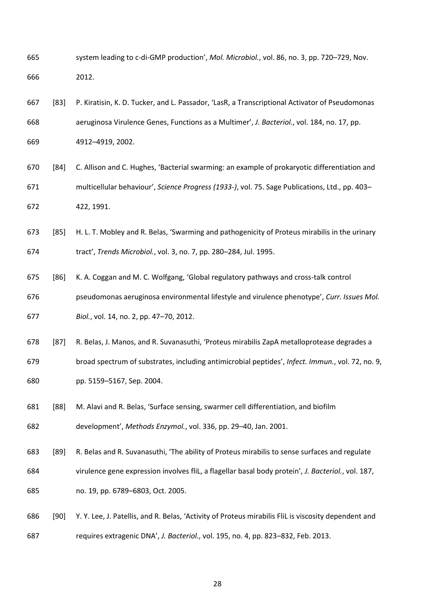- system leading to c-di-GMP production', *Mol. Microbiol.*, vol. 86, no. 3, pp. 720–729, Nov. 2012.
- [83] P. Kiratisin, K. D. Tucker, and L. Passador, 'LasR, a Transcriptional Activator of Pseudomonas aeruginosa Virulence Genes, Functions as a Multimer', *J. Bacteriol.*, vol. 184, no. 17, pp.
- 4912–4919, 2002.
- [84] C. Allison and C. Hughes, 'Bacterial swarming: an example of prokaryotic differentiation and multicellular behaviour', *Science Progress (1933-)*, vol. 75. Sage Publications, Ltd., pp. 403– 422, 1991.
- [85] H. L. T. Mobley and R. Belas, 'Swarming and pathogenicity of Proteus mirabilis in the urinary tract', *Trends Microbiol.*, vol. 3, no. 7, pp. 280–284, Jul. 1995.
- [86] K. A. Coggan and M. C. Wolfgang, 'Global regulatory pathways and cross-talk control pseudomonas aeruginosa environmental lifestyle and virulence phenotype', *Curr. Issues Mol. Biol.*, vol. 14, no. 2, pp. 47–70, 2012.
- [87] R. Belas, J. Manos, and R. Suvanasuthi, 'Proteus mirabilis ZapA metalloprotease degrades a
- broad spectrum of substrates, including antimicrobial peptides', *Infect. Immun.*, vol. 72, no. 9, pp. 5159–5167, Sep. 2004.
- [88] M. Alavi and R. Belas, 'Surface sensing, swarmer cell differentiation, and biofilm development', *Methods Enzymol.*, vol. 336, pp. 29–40, Jan. 2001.
- [89] R. Belas and R. Suvanasuthi, 'The ability of Proteus mirabilis to sense surfaces and regulate
- virulence gene expression involves fliL, a flagellar basal body protein', *J. Bacteriol.*, vol. 187,
- no. 19, pp. 6789–6803, Oct. 2005.
- [90] Y. Y. Lee, J. Patellis, and R. Belas, 'Activity of Proteus mirabilis FliL is viscosity dependent and requires extragenic DNA', *J. Bacteriol.*, vol. 195, no. 4, pp. 823–832, Feb. 2013.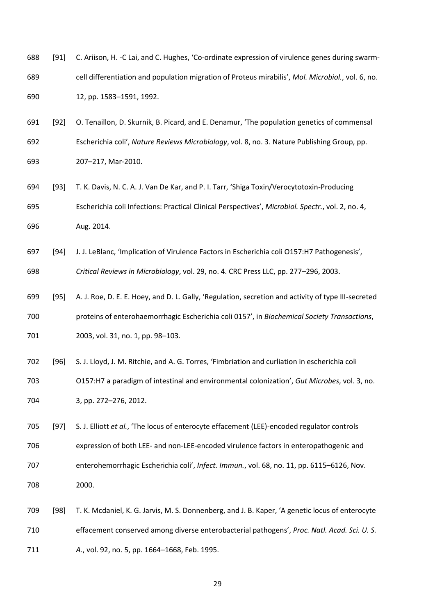- 688 [91] C. Ariison, H. -C Lai, and C. Hughes, 'Co-ordinate expression of virulence genes during swarm- cell differentiation and population migration of Proteus mirabilis', *Mol. Microbiol.*, vol. 6, no. 12, pp. 1583–1591, 1992.
- [92] O. Tenaillon, D. Skurnik, B. Picard, and E. Denamur, 'The population genetics of commensal Escherichia coli', *Nature Reviews Microbiology*, vol. 8, no. 3. Nature Publishing Group, pp. 207–217, Mar-2010.
- [93] T. K. Davis, N. C. A. J. Van De Kar, and P. I. Tarr, 'Shiga Toxin/Verocytotoxin-Producing Escherichia coli Infections: Practical Clinical Perspectives', *Microbiol. Spectr.*, vol. 2, no. 4, Aug. 2014.
- [94] J. J. LeBlanc, 'Implication of Virulence Factors in Escherichia coli O157:H7 Pathogenesis', *Critical Reviews in Microbiology*, vol. 29, no. 4. CRC Press LLC, pp. 277–296, 2003.
- [95] A. J. Roe, D. E. E. Hoey, and D. L. Gally, 'Regulation, secretion and activity of type III-secreted proteins of enterohaemorrhagic Escherichia coli 0157', in *Biochemical Society Transactions*, 2003, vol. 31, no. 1, pp. 98–103.
- [96] S. J. Lloyd, J. M. Ritchie, and A. G. Torres, 'Fimbriation and curliation in escherichia coli O157:H7 a paradigm of intestinal and environmental colonization', *Gut Microbes*, vol. 3, no. 3, pp. 272–276, 2012.
- [97] S. J. Elliott *et al.*, 'The locus of enterocyte effacement (LEE)-encoded regulator controls expression of both LEE- and non-LEE-encoded virulence factors in enteropathogenic and enterohemorrhagic Escherichia coli', *Infect. Immun.*, vol. 68, no. 11, pp. 6115–6126, Nov. 2000.
- [98] T. K. Mcdaniel, K. G. Jarvis, M. S. Donnenberg, and J. B. Kaper, 'A genetic locus of enterocyte effacement conserved among diverse enterobacterial pathogens', *Proc. Natl. Acad. Sci. U. S. A.*, vol. 92, no. 5, pp. 1664–1668, Feb. 1995.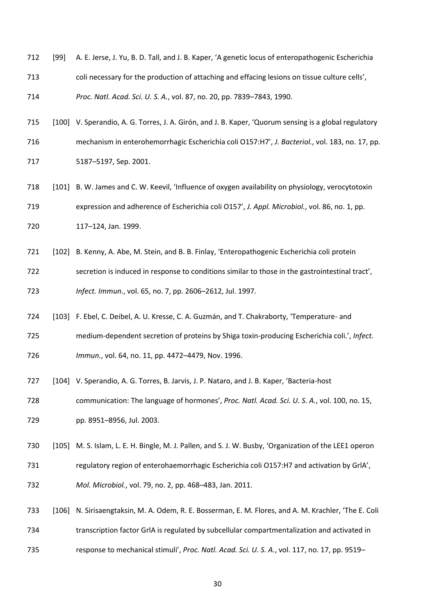- [99] A. E. Jerse, J. Yu, B. D. Tall, and J. B. Kaper, 'A genetic locus of enteropathogenic Escherichia
- coli necessary for the production of attaching and effacing lesions on tissue culture cells',
- *Proc. Natl. Acad. Sci. U. S. A.*, vol. 87, no. 20, pp. 7839–7843, 1990.
- [100] V. Sperandio, A. G. Torres, J. A. Girón, and J. B. Kaper, 'Quorum sensing is a global regulatory
- mechanism in enterohemorrhagic Escherichia coli O157:H7', *J. Bacteriol.*, vol. 183, no. 17, pp. 5187–5197, Sep. 2001.
- [101] B. W. James and C. W. Keevil, 'Influence of oxygen availability on physiology, verocytotoxin expression and adherence of Escherichia coli O157', *J. Appl. Microbiol.*, vol. 86, no. 1, pp. 117–124, Jan. 1999.
- [102] B. Kenny, A. Abe, M. Stein, and B. B. Finlay, 'Enteropathogenic Escherichia coli protein
- secretion is induced in response to conditions similar to those in the gastrointestinal tract', *Infect. Immun.*, vol. 65, no. 7, pp. 2606–2612, Jul. 1997.
- [103] F. Ebel, C. Deibel, A. U. Kresse, C. A. Guzmán, and T. Chakraborty, 'Temperature- and
- medium-dependent secretion of proteins by Shiga toxin-producing Escherichia coli.', *Infect.*
- *Immun.*, vol. 64, no. 11, pp. 4472–4479, Nov. 1996.
- [104] V. Sperandio, A. G. Torres, B. Jarvis, J. P. Nataro, and J. B. Kaper, 'Bacteria-host

 communication: The language of hormones', *Proc. Natl. Acad. Sci. U. S. A.*, vol. 100, no. 15, pp. 8951–8956, Jul. 2003.

- [105] M. S. Islam, L. E. H. Bingle, M. J. Pallen, and S. J. W. Busby, 'Organization of the LEE1 operon
- 731 regulatory region of enterohaemorrhagic Escherichia coli O157:H7 and activation by GrlA',
- *Mol. Microbiol.*, vol. 79, no. 2, pp. 468–483, Jan. 2011.
- [106] N. Sirisaengtaksin, M. A. Odem, R. E. Bosserman, E. M. Flores, and A. M. Krachler, 'The E. Coli
- transcription factor GrlA is regulated by subcellular compartmentalization and activated in
- response to mechanical stimuli', *Proc. Natl. Acad. Sci. U. S. A.*, vol. 117, no. 17, pp. 9519–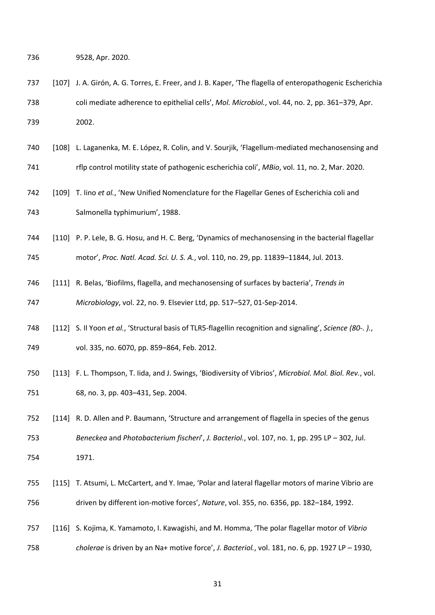9528, Apr. 2020.

- [107] J. A. Girón, A. G. Torres, E. Freer, and J. B. Kaper, 'The flagella of enteropathogenic Escherichia coli mediate adherence to epithelial cells', *Mol. Microbiol.*, vol. 44, no. 2, pp. 361–379, Apr. 2002.
- [108] L. Laganenka, M. E. López, R. Colin, and V. Sourjik, 'Flagellum-mediated mechanosensing and
- rflp control motility state of pathogenic escherichia coli', *MBio*, vol. 11, no. 2, Mar. 2020.
- [109] T. Iino *et al.*, 'New Unified Nomenclature for the Flagellar Genes of Escherichia coli and Salmonella typhimurium', 1988.
- [110] P. P. Lele, B. G. Hosu, and H. C. Berg, 'Dynamics of mechanosensing in the bacterial flagellar

motor', *Proc. Natl. Acad. Sci. U. S. A.*, vol. 110, no. 29, pp. 11839–11844, Jul. 2013.

- [111] R. Belas, 'Biofilms, flagella, and mechanosensing of surfaces by bacteria', *Trends in Microbiology*, vol. 22, no. 9. Elsevier Ltd, pp. 517–527, 01-Sep-2014.
- [112] S. Il Yoon *et al.*, 'Structural basis of TLR5-flagellin recognition and signaling', *Science (80-. ).*, vol. 335, no. 6070, pp. 859–864, Feb. 2012.
- [113] F. L. Thompson, T. Iida, and J. Swings, 'Biodiversity of Vibrios', *Microbiol. Mol. Biol. Rev.*, vol. 68, no. 3, pp. 403–431, Sep. 2004.
- [114] R. D. Allen and P. Baumann, 'Structure and arrangement of flagella in species of the genus *Beneckea* and *Photobacterium fischeri*', *J. Bacteriol.*, vol. 107, no. 1, pp. 295 LP – 302, Jul. 1971.
- [115] T. Atsumi, L. McCartert, and Y. Imae, 'Polar and lateral flagellar motors of marine Vibrio are driven by different ion-motive forces', *Nature*, vol. 355, no. 6356, pp. 182–184, 1992.
- [116] S. Kojima, K. Yamamoto, I. Kawagishi, and M. Homma, 'The polar flagellar motor of *Vibrio cholerae* is driven by an Na+ motive force', *J. Bacteriol.*, vol. 181, no. 6, pp. 1927 LP – 1930,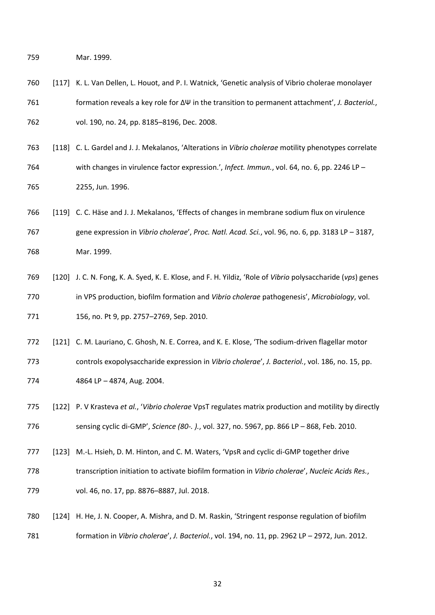Mar. 1999.

- [117] K. L. Van Dellen, L. Houot, and P. I. Watnick, 'Genetic analysis of Vibrio cholerae monolayer formation reveals a key role for ΔΨ in the transition to permanent attachment', *J. Bacteriol.*, vol. 190, no. 24, pp. 8185–8196, Dec. 2008.
- [118] C. L. Gardel and J. J. Mekalanos, 'Alterations in *Vibrio cholerae* motility phenotypes correlate with changes in virulence factor expression.', *Infect. Immun.*, vol. 64, no. 6, pp. 2246 LP – 2255, Jun. 1996.
- [119] C. C. Häse and J. J. Mekalanos, 'Effects of changes in membrane sodium flux on virulence gene expression in *Vibrio cholerae*', *Proc. Natl. Acad. Sci.*, vol. 96, no. 6, pp. 3183 LP – 3187, Mar. 1999.
- [120] J. C. N. Fong, K. A. Syed, K. E. Klose, and F. H. Yildiz, 'Role of *Vibrio* polysaccharide (*vps*) genes in VPS production, biofilm formation and *Vibrio cholerae* pathogenesis', *Microbiology*, vol. 156, no. Pt 9, pp. 2757–2769, Sep. 2010.
- [121] C. M. Lauriano, C. Ghosh, N. E. Correa, and K. E. Klose, 'The sodium-driven flagellar motor controls exopolysaccharide expression in *Vibrio cholerae*', *J. Bacteriol.*, vol. 186, no. 15, pp. 4864 LP – 4874, Aug. 2004.
- [122] P. V Krasteva *et al.*, '*Vibrio cholerae* VpsT regulates matrix production and motility by directly sensing cyclic di-GMP', *Science (80-. ).*, vol. 327, no. 5967, pp. 866 LP – 868, Feb. 2010.
- [123] M.-L. Hsieh, D. M. Hinton, and C. M. Waters, 'VpsR and cyclic di-GMP together drive
- transcription initiation to activate biofilm formation in *Vibrio cholerae*', *Nucleic Acids Res.*,
- vol. 46, no. 17, pp. 8876–8887, Jul. 2018.
- [124] H. He, J. N. Cooper, A. Mishra, and D. M. Raskin, 'Stringent response regulation of biofilm formation in *Vibrio cholerae*', *J. Bacteriol.*, vol. 194, no. 11, pp. 2962 LP – 2972, Jun. 2012.